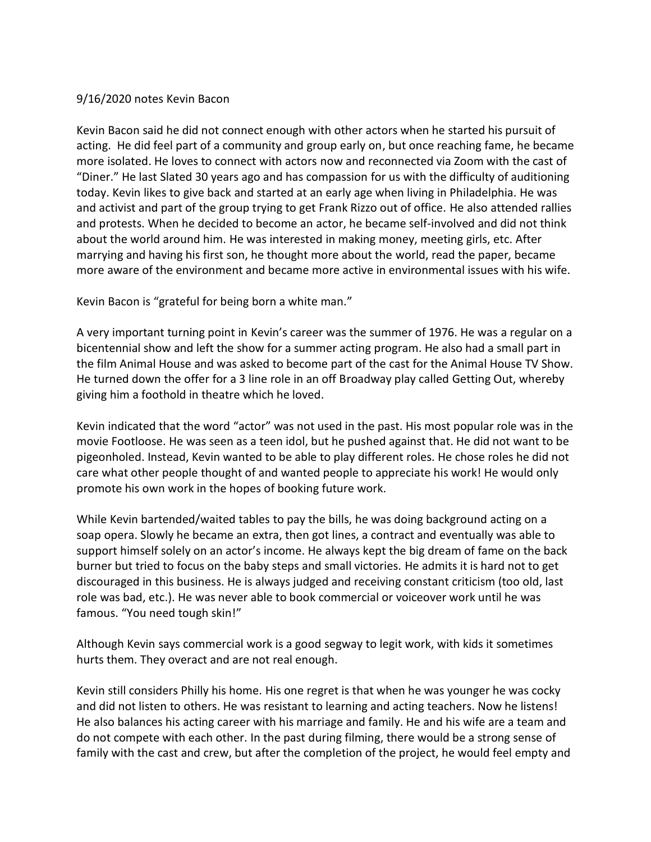## 9/16/2020 notes Kevin Bacon

Kevin Bacon said he did not connect enough with other actors when he started his pursuit of acting. He did feel part of a community and group early on, but once reaching fame, he became more isolated. He loves to connect with actors now and reconnected via Zoom with the cast of "Diner." He last Slated 30 years ago and has compassion for us with the difficulty of auditioning today. Kevin likes to give back and started at an early age when living in Philadelphia. He was and activist and part of the group trying to get Frank Rizzo out of office. He also attended rallies and protests. When he decided to become an actor, he became self-involved and did not think about the world around him. He was interested in making money, meeting girls, etc. After marrying and having his first son, he thought more about the world, read the paper, became more aware of the environment and became more active in environmental issues with his wife.

Kevin Bacon is "grateful for being born a white man."

A very important turning point in Kevin's career was the summer of 1976. He was a regular on a bicentennial show and left the show for a summer acting program. He also had a small part in the film Animal House and was asked to become part of the cast for the Animal House TV Show. He turned down the offer for a 3 line role in an off Broadway play called Getting Out, whereby giving him a foothold in theatre which he loved.

Kevin indicated that the word "actor" was not used in the past. His most popular role was in the movie Footloose. He was seen as a teen idol, but he pushed against that. He did not want to be pigeonholed. Instead, Kevin wanted to be able to play different roles. He chose roles he did not care what other people thought of and wanted people to appreciate his work! He would only promote his own work in the hopes of booking future work.

While Kevin bartended/waited tables to pay the bills, he was doing background acting on a soap opera. Slowly he became an extra, then got lines, a contract and eventually was able to support himself solely on an actor's income. He always kept the big dream of fame on the back burner but tried to focus on the baby steps and small victories. He admits it is hard not to get discouraged in this business. He is always judged and receiving constant criticism (too old, last role was bad, etc.). He was never able to book commercial or voiceover work until he was famous. "You need tough skin!"

Although Kevin says commercial work is a good segway to legit work, with kids it sometimes hurts them. They overact and are not real enough.

Kevin still considers Philly his home. His one regret is that when he was younger he was cocky and did not listen to others. He was resistant to learning and acting teachers. Now he listens! He also balances his acting career with his marriage and family. He and his wife are a team and do not compete with each other. In the past during filming, there would be a strong sense of family with the cast and crew, but after the completion of the project, he would feel empty and